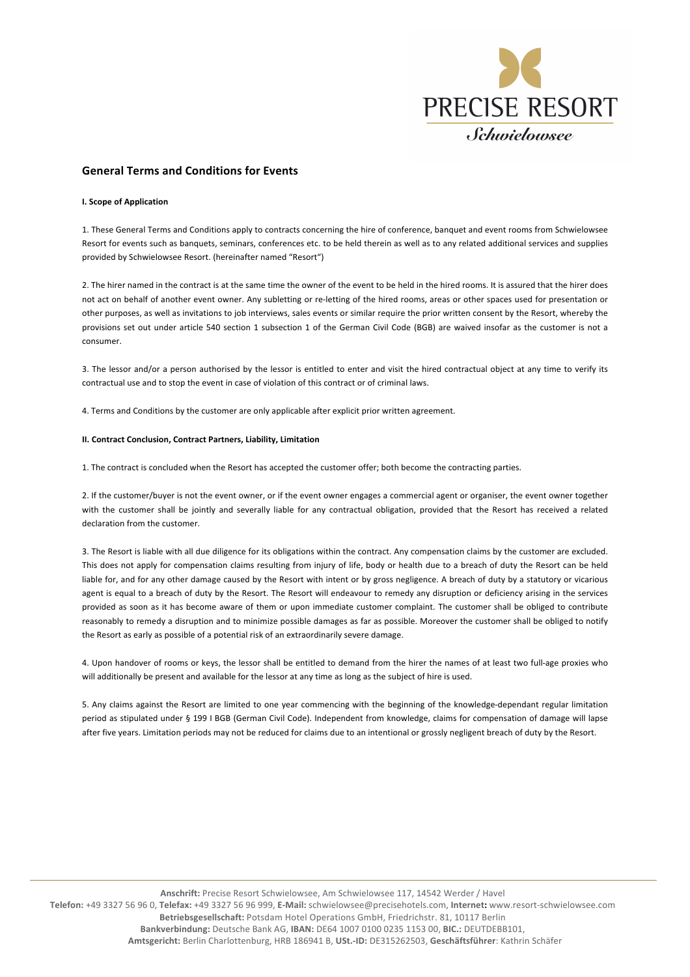

# **General Terms and Conditions for Events**

### **I. Scope of Application**

1. These General Terms and Conditions apply to contracts concerning the hire of conference, banquet and event rooms from Schwielowsee Resort for events such as banquets, seminars, conferences etc. to be held therein as well as to any related additional services and supplies provided by Schwielowsee Resort. (hereinafter named "Resort")

2. The hirer named in the contract is at the same time the owner of the event to be held in the hired rooms. It is assured that the hirer does not act on behalf of another event owner. Any subletting or re-letting of the hired rooms, areas or other spaces used for presentation or other purposes, as well as invitations to job interviews, sales events or similar require the prior written consent by the Resort, whereby the provisions set out under article 540 section 1 subsection 1 of the German Civil Code (BGB) are waived insofar as the customer is not a consumer. 

3. The lessor and/or a person authorised by the lessor is entitled to enter and visit the hired contractual object at any time to verify its contractual use and to stop the event in case of violation of this contract or of criminal laws.

4. Terms and Conditions by the customer are only applicable after explicit prior written agreement.

### **II. Contract Conclusion, Contract Partners, Liability, Limitation**

1. The contract is concluded when the Resort has accepted the customer offer; both become the contracting parties.

2. If the customer/buyer is not the event owner, or if the event owner engages a commercial agent or organiser, the event owner together with the customer shall be jointly and severally liable for any contractual obligation, provided that the Resort has received a related declaration from the customer.

3. The Resort is liable with all due diligence for its obligations within the contract. Any compensation claims by the customer are excluded. This does not apply for compensation claims resulting from injury of life, body or health due to a breach of duty the Resort can be held liable for, and for any other damage caused by the Resort with intent or by gross negligence. A breach of duty by a statutory or vicarious agent is equal to a breach of duty by the Resort. The Resort will endeavour to remedy any disruption or deficiency arising in the services provided as soon as it has become aware of them or upon immediate customer complaint. The customer shall be obliged to contribute reasonably to remedy a disruption and to minimize possible damages as far as possible. Moreover the customer shall be obliged to notify the Resort as early as possible of a potential risk of an extraordinarily severe damage.

4. Upon handover of rooms or keys, the lessor shall be entitled to demand from the hirer the names of at least two full-age proxies who will additionally be present and available for the lessor at any time as long as the subject of hire is used.

5. Any claims against the Resort are limited to one year commencing with the beginning of the knowledge-dependant regular limitation period as stipulated under § 199 I BGB (German Civil Code). Independent from knowledge, claims for compensation of damage will lapse after five years. Limitation periods may not be reduced for claims due to an intentional or grossly negligent breach of duty by the Resort.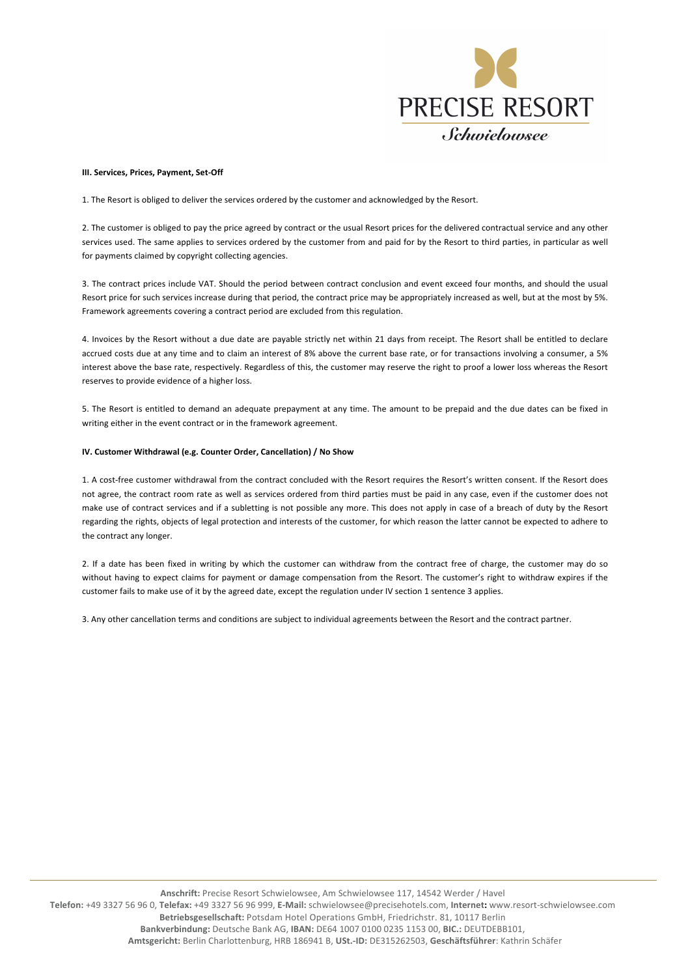

## **III. Services, Prices, Payment, Set-Off**

1. The Resort is obliged to deliver the services ordered by the customer and acknowledged by the Resort.

2. The customer is obliged to pay the price agreed by contract or the usual Resort prices for the delivered contractual service and any other services used. The same applies to services ordered by the customer from and paid for by the Resort to third parties, in particular as well for payments claimed by copyright collecting agencies.

3. The contract prices include VAT. Should the period between contract conclusion and event exceed four months, and should the usual Resort price for such services increase during that period, the contract price may be appropriately increased as well, but at the most by 5%. Framework agreements covering a contract period are excluded from this regulation.

4. Invoices by the Resort without a due date are payable strictly net within 21 days from receipt. The Resort shall be entitled to declare accrued costs due at any time and to claim an interest of 8% above the current base rate, or for transactions involving a consumer, a 5% interest above the base rate, respectively. Regardless of this, the customer may reserve the right to proof a lower loss whereas the Resort reserves to provide evidence of a higher loss.

5. The Resort is entitled to demand an adequate prepayment at any time. The amount to be prepaid and the due dates can be fixed in writing either in the event contract or in the framework agreement.

## **IV. Customer Withdrawal (e.g. Counter Order, Cancellation) / No Show**

1. A cost-free customer withdrawal from the contract concluded with the Resort requires the Resort's written consent. If the Resort does not agree, the contract room rate as well as services ordered from third parties must be paid in any case, even if the customer does not make use of contract services and if a subletting is not possible any more. This does not apply in case of a breach of duty by the Resort regarding the rights, objects of legal protection and interests of the customer, for which reason the latter cannot be expected to adhere to the contract any longer.

2. If a date has been fixed in writing by which the customer can withdraw from the contract free of charge, the customer may do so without having to expect claims for payment or damage compensation from the Resort. The customer's right to withdraw expires if the customer fails to make use of it by the agreed date, except the regulation under IV section 1 sentence 3 applies.

3. Any other cancellation terms and conditions are subject to individual agreements between the Resort and the contract partner.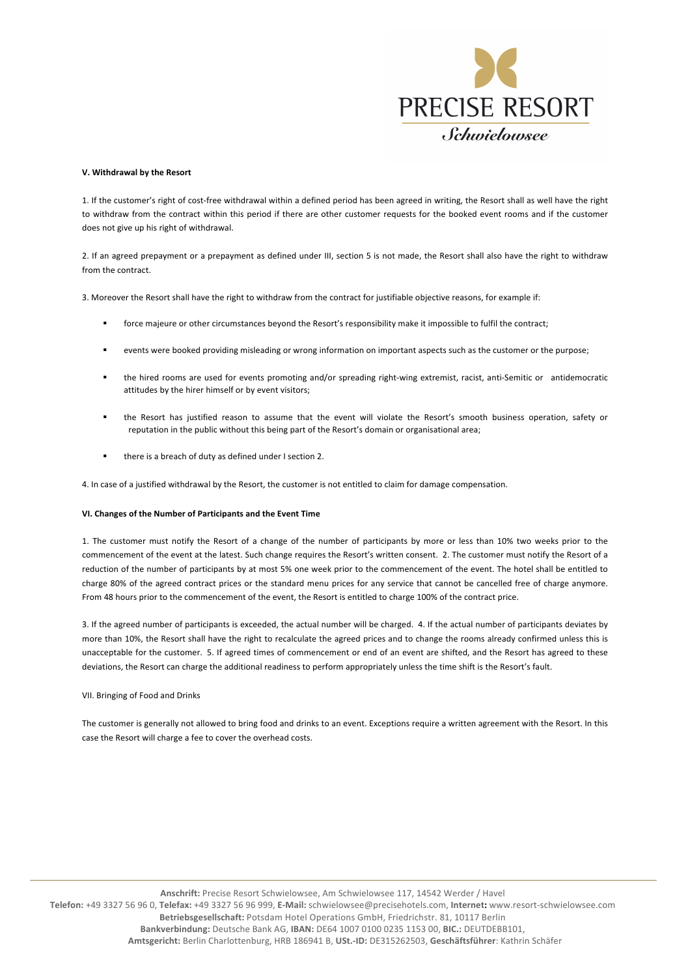

## **V.** Withdrawal by the Resort

1. If the customer's right of cost-free withdrawal within a defined period has been agreed in writing, the Resort shall as well have the right to withdraw from the contract within this period if there are other customer requests for the booked event rooms and if the customer does not give up his right of withdrawal.

2. If an agreed prepayment or a prepayment as defined under III, section 5 is not made, the Resort shall also have the right to withdraw from the contract.

3. Moreover the Resort shall have the right to withdraw from the contract for justifiable objective reasons, for example if:

- force majeure or other circumstances beyond the Resort's responsibility make it impossible to fulfil the contract;
- events were booked providing misleading or wrong information on important aspects such as the customer or the purpose;
- the hired rooms are used for events promoting and/or spreading right-wing extremist, racist, anti-Semitic or antidemocratic attitudes by the hirer himself or by event visitors;
- the Resort has justified reason to assume that the event will violate the Resort's smooth business operation, safety or reputation in the public without this being part of the Resort's domain or organisational area;
- there is a breach of duty as defined under I section 2.

4. In case of a justified withdrawal by the Resort, the customer is not entitled to claim for damage compensation.

# **VI. Changes of the Number of Participants and the Event Time**

1. The customer must notify the Resort of a change of the number of participants by more or less than 10% two weeks prior to the commencement of the event at the latest. Such change requires the Resort's written consent. 2. The customer must notify the Resort of a reduction of the number of participants by at most 5% one week prior to the commencement of the event. The hotel shall be entitled to charge 80% of the agreed contract prices or the standard menu prices for any service that cannot be cancelled free of charge anymore. From 48 hours prior to the commencement of the event, the Resort is entitled to charge 100% of the contract price.

3. If the agreed number of participants is exceeded, the actual number will be charged. 4. If the actual number of participants deviates by more than 10%, the Resort shall have the right to recalculate the agreed prices and to change the rooms already confirmed unless this is unacceptable for the customer. 5. If agreed times of commencement or end of an event are shifted, and the Resort has agreed to these deviations, the Resort can charge the additional readiness to perform appropriately unless the time shift is the Resort's fault.

### VII. Bringing of Food and Drinks

The customer is generally not allowed to bring food and drinks to an event. Exceptions require a written agreement with the Resort. In this case the Resort will charge a fee to cover the overhead costs.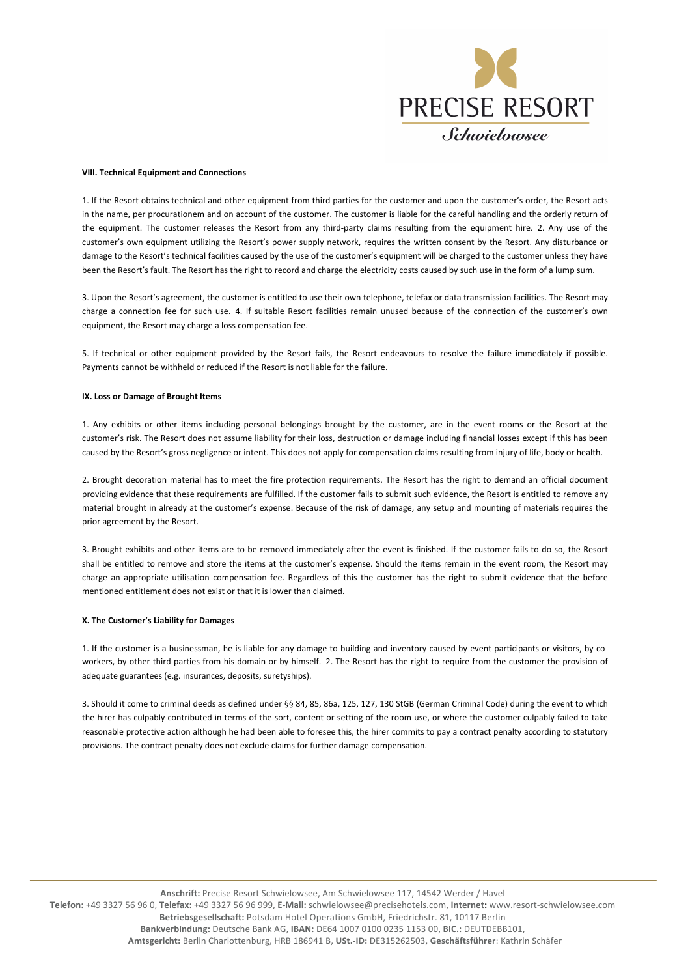

### **VIII. Technical Equipment and Connections**

1. If the Resort obtains technical and other equipment from third parties for the customer and upon the customer's order, the Resort acts in the name, per procurationem and on account of the customer. The customer is liable for the careful handling and the orderly return of the equipment. The customer releases the Resort from any third-party claims resulting from the equipment hire. 2. Any use of the customer's own equipment utilizing the Resort's power supply network, requires the written consent by the Resort. Any disturbance or damage to the Resort's technical facilities caused by the use of the customer's equipment will be charged to the customer unless they have been the Resort's fault. The Resort has the right to record and charge the electricity costs caused by such use in the form of a lump sum.

3. Upon the Resort's agreement, the customer is entitled to use their own telephone, telefax or data transmission facilities. The Resort may charge a connection fee for such use. 4. If suitable Resort facilities remain unused because of the connection of the customer's own equipment, the Resort may charge a loss compensation fee.

5. If technical or other equipment provided by the Resort fails, the Resort endeavours to resolve the failure immediately if possible. Payments cannot be withheld or reduced if the Resort is not liable for the failure.

### **IX.** Loss or Damage of Brought Items

1. Any exhibits or other items including personal belongings brought by the customer, are in the event rooms or the Resort at the customer's risk. The Resort does not assume liability for their loss, destruction or damage including financial losses except if this has been caused by the Resort's gross negligence or intent. This does not apply for compensation claims resulting from injury of life, body or health.

2. Brought decoration material has to meet the fire protection requirements. The Resort has the right to demand an official document providing evidence that these requirements are fulfilled. If the customer fails to submit such evidence, the Resort is entitled to remove any material brought in already at the customer's expense. Because of the risk of damage, any setup and mounting of materials requires the prior agreement by the Resort.

3. Brought exhibits and other items are to be removed immediately after the event is finished. If the customer fails to do so, the Resort shall be entitled to remove and store the items at the customer's expense. Should the items remain in the event room, the Resort may charge an appropriate utilisation compensation fee. Regardless of this the customer has the right to submit evidence that the before mentioned entitlement does not evist or that it is lower than claimed.

### **X.** The Customer's Liability for Damages

1. If the customer is a businessman, he is liable for any damage to building and inventory caused by event participants or visitors, by coworkers, by other third parties from his domain or by himself. 2. The Resort has the right to require from the customer the provision of adequate guarantees (e.g. insurances, deposits, suretyships).

3. Should it come to criminal deeds as defined under §§ 84, 85, 86a, 125, 127, 130 StGB (German Criminal Code) during the event to which the hirer has culpably contributed in terms of the sort, content or setting of the room use, or where the customer culpably failed to take reasonable protective action although he had been able to foresee this, the hirer commits to pay a contract penalty according to statutory provisions. The contract penalty does not exclude claims for further damage compensation.